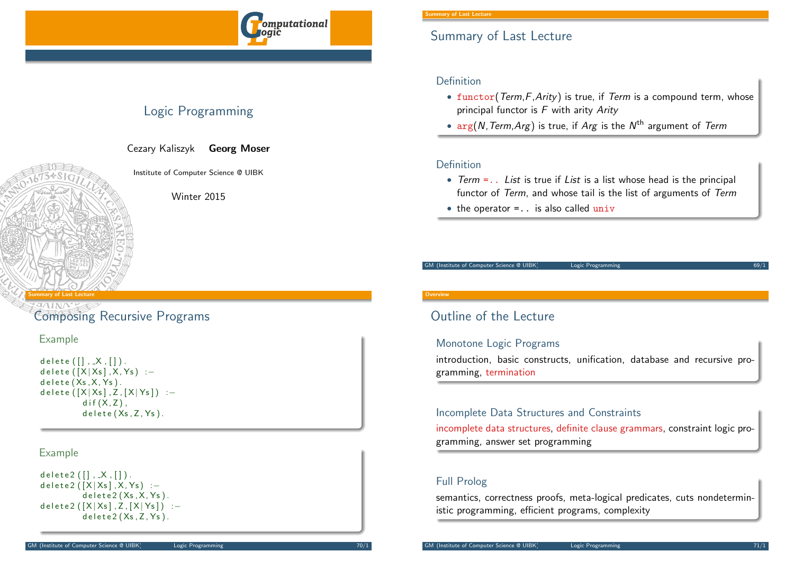

# Logic Programming

Cezary Kaliszyk Georg Moser

Institute of Computer Science @ UIBK

Winter 2015

#### <span id="page-0-0"></span>Summary of Last Lecture

[Compo](#page-0-0)sing Recursive Program[s](http://cl-informatik.uibk.ac.at)

## Example

d e l e t e  $([$   $, X, []$  ).  $delta([X|Xs], X, Ys) :=$  $delete(Xs, X, Ys)$ . d e l e t e  $([X|Xs]$ , Z,  $[X|Ys] )$ :  $dif(X,Z)$ ,  $delete(Xs.Z.Ys).$ 

### Example

```
d e l e t e 2 ([ ], X, [ ]).
d e l e t e 2 ([X|Xs], X, Ys) : -
           delta 2(Xs, X, Ys).
d e l e t e 2 ([X|Xs], Z, [X|Ys] ) : -
           delta 2(Xs, Z, Ys).
```
#### **Overvie**

# Outline of the Lecture

### Monotone Logic Programs

introduction, basic constructs, unification, database and recursive programming, termination

### Incomplete Data Structures and Constraints

incomplete data structures, definite clause grammars, constraint logic programming, answer set programming

## Full Prolog

semantics, correctness proofs, meta-logical predicates, cuts nondeterministic programming, efficient programs, complexity

# Summary of Last Lecture

## Definition

- functor( $Term, F, Arity$ ) is true, if  $Term$  is a compound term, whose principal functor is  $F$  with arity  $Arity$
- $\arg(N, Term, Arg)$  is true, if  $Arg$  is the  $N^{\text{th}}$  argument of  $Term$

## Definition

- Term  $=$ .. List is true if List is a list whose head is the principal functor of Term, and whose tail is the list of arguments of Term
- $\bullet$  the operator = . is also called univ

GM (Institute of Computer Science @ UIBK) Logic Programming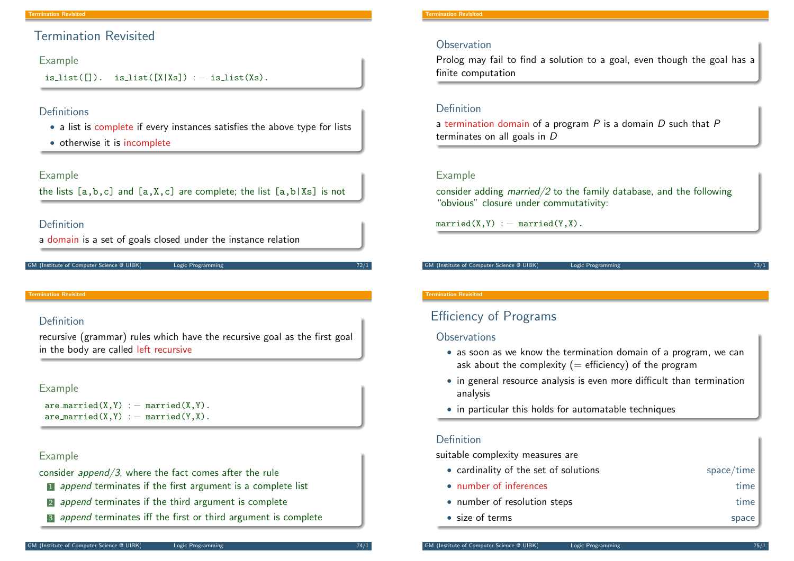## Termination Revisited

#### Example

is list( $[1]$ ). is list( $[X|Xs]$ ) : – is list( $Xs$ ).

## Definitions

- a list is complete if every instances satisfies the above type for lists
- otherwise it is incomplete

Example

the lists  $[a,b,c]$  and  $[a,X,c]$  are complete; the list  $[a,b|Xs]$  is not

### Definition

```
a domain is a set of goals closed under the instance relation
```
#### GM (Institute of Computer Science @ UIBK) Logic Programming

#### <span id="page-1-0"></span>Termination Revisited

## Definition

recursive (grammar) rules which have the recursive goal as the first goal in the body are called left recursive

#### Example

```
aremarried(X,Y) := married(X,Y).
are_married(X, Y) : – married(Y, X).
```
## Example

consider append/3, where the fact comes after the rule

- 1 append terminates if the first argument is a complete list
- 2 append terminates if the third argument is complete
- **3** append terminates iff the first or third argument is complete

## **Observation**

Prolog may fail to find a solution to a goal, even though the goal has a finite computation

### Definition

a termination domain of a program  $P$  is a domain  $D$  such that  $P$ terminates on all goals in D

### Example

consider adding married/2 to the family database, and the following "obvious" closure under commutativity:

 $martied(X,Y) := martied(Y,X)$ .

#### GM (Institute of Computer Science @ UIBK) Logic Programming

#### Termination Revisited

# Efficiency of Programs

#### **Observations**

- as soon as we know the termination domain of a program, we can ask about the complexity ( $=$  efficiency) of the program
- in general resource analysis is even more difficult than termination analysis
- in particular this holds for automatable techniques

#### Definition

suitable complexity measures are

- cardinality of the set of solutions space/time
- number of inferences time
- number of resolution steps time
- size of terms space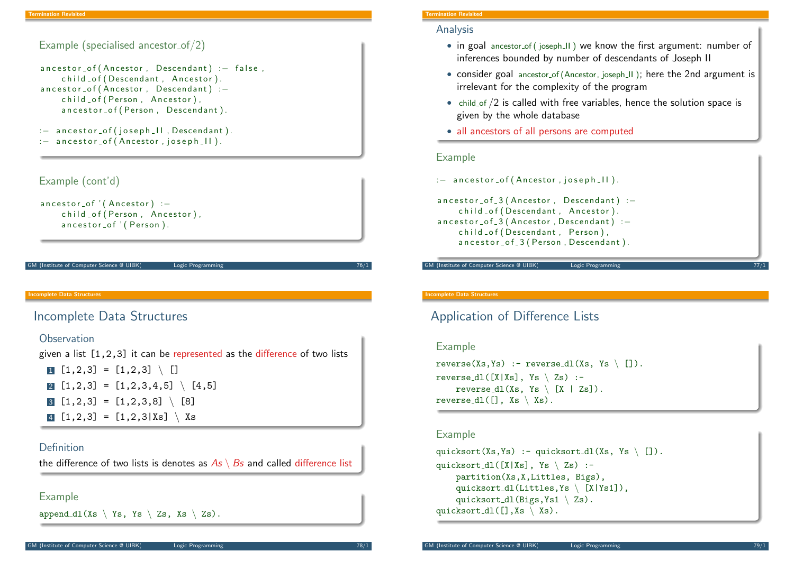```
Example (specialised ancestor_of/2)
ancestor_of (Ancestor, Descendant) :- false,
    child of (Descendant, Ancestor).
ancestor_of (Ancestor, Descendant) :-
    child of (Person, Ancestor),
    ancestor_of (Person, Descendant).
: - ancestor_of (joseph_II, Descendant).
: - ancestor_of (Ancestor, joseph _ II).
```
## Example (cont'd)

```
ancestor_of' (Ancestor) :-
    child of (Person, Ancestor).
    ancestor_of ' (Person).
```
GM (Institute of Computer Science @ UIBK) Logic Programming

#### ncomplete Data Structures

## <span id="page-2-0"></span>[Inco](#page-1-0)[mpl](#page-2-0)ete Data Structures

#### **Observation**

given a list [1,2,3] it can be represented as the difference of two lists 1  $[1,2,3] = [1,2,3] \setminus []$ **2**  $\begin{bmatrix} 1 & 2 & 3 \end{bmatrix} = \begin{bmatrix} 1 & 2 & 3 & 4 & 5 \end{bmatrix} \setminus \begin{bmatrix} 4 & 5 \end{bmatrix}$  $\overline{3}$   $\overline{1,2,3}$  =  $\overline{1,2,3,8}$  \  $\overline{8}$  $[1,2,3] = [1,2,3|Xs] \setminus Xs$ 

#### Definition

the difference of two lists is denotes as  $As \ Bs$  and called difference list

Example

append  $dl(Xs \setminus Ys, Ys \setminus Zs, Xs \setminus Zs)$ .

#### Termination Revisited

#### Analysis

- in goal ancestor of (joseph II) we know the first argument: number of inferences bounded by number of descendants of Joseph II
- consider goal ancestor of (Ancestor, joseph II); here the 2nd argument is irrelevant for the complexity of the program
- child of /2 is called with free variables, hence the solution space is given by the whole database
- all ancestors of all persons are computed

#### Example

 $:$  ancestor\_of (Ancestor, joseph  $\lfloor \cdot \rfloor$ ).

```
ancestor_of_3 (Ancestor, Descendant) :-
    child _of (Descendant, Ancestor).
ancestor_of_3 (Ancestor, Descendant) :-
    child _ of (Descendant, Person),
    ancestor_of_3 (Person, Descendant).
```
GM (Institute of Computer Science @ UIBK) Logic Programming

#### Incomplete Data Structures

## Application of Difference Lists

#### Example

```
reverse(Xs,Ys) :- reverse_dl(Xs, Ys \ []).
reverse_dl([X|Xs], Ys \setminus Zs) :-
    reverse dl(Xs, Ys \setminus [X | Zs]).
reverse_dl([], Xs \setminus Xs).
```
#### Example

```
quicksort(Xs,Ys) :- quicksort_dl(Xs, Ys \ []).
quicksort_dl([X|Xs], Ys \angle Zs) :-
    partition(Xs,X,Littles, Bigs),
    quicksort_dl(Littles, Ys \ [X|Ys1]),
    quicksort_dl(Bigs, Ys1 \setminus Zs).
quicksort_dl([],Xs \setminusXs).
```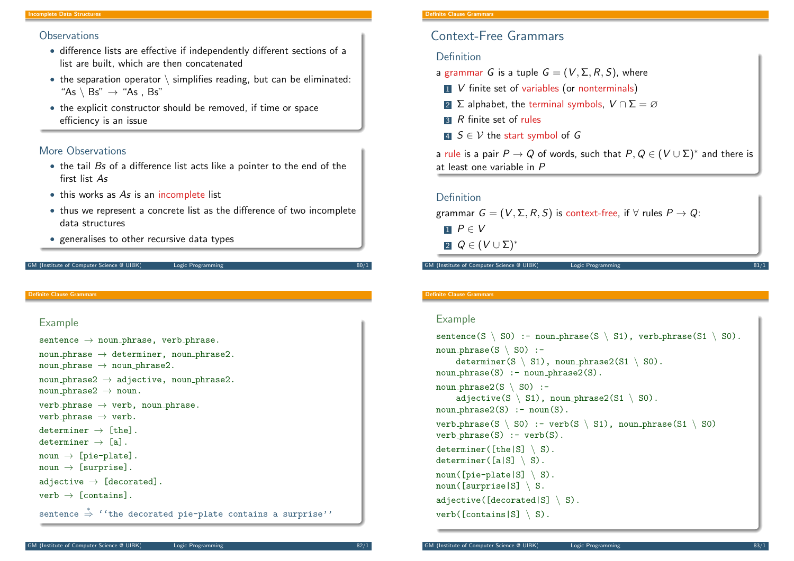#### mplete Data Structures

#### **Observations**

- difference lists are effective if independently different sections of a list are built, which are then concatenated
- the separation operator  $\setminus$  simplifies reading, but can be eliminated: "As  $\backslash$  Bs"  $\rightarrow$  "As , Bs"
- the explicit constructor should be removed, if time or space efficiency is an issue

#### More Observations

- the tail Bs of a difference list acts like a pointer to the end of the first list As
- this works as As is an incomplete list
- thus we represent a concrete list as the difference of two incomplete data structures
- generalises to other recursive data types

#### M (Institute of Computer Science @ UIBK) Logic Programming

#### Definite Clause Grammars

### Example

```
sentence \rightarrow noun\_phrase, verb_phrase.
noun\_phrase \rightarrow determine, noun\_phrase2.
noun\_phrase \rightarrow noun\_phrase2.
noun\_phrase2 \rightarrow adjective, noun\_phrase2.noun\_phrase2 \rightarrow noun.verb_phrase \rightarrow verb, noun_phrase.verb_phrase \rightarrow verb.determiner \rightarrow [the].
determiner \rightarrow [a].
\text{noun} \rightarrow [\text{pie-plate}].\text{noun} \rightarrow \text{[surprise]}.
adjective \rightarrow [decorated].
verb \rightarrow [contains].
sentence \stackrel{*}{\Rightarrow} ''the decorated pie-plate contains a surprise''
```
#### Definite Clause Grammars

## Context-Free Grammars

#### Definition

- a grammar G is a tuple  $G = (V, \Sigma, R, S)$ , where
- $\blacksquare$  V finite set of variables (or nonterminals)
- 2 Σ alphabet, the terminal symbols,  $V \cap \Sigma = \emptyset$
- $\overline{3}$  R finite set of rules
- 4  $S \in V$  the start symbol of G

a rule is a pair  $P \to Q$  of words, such that  $P, Q \in (V \cup \Sigma)^*$  and there is at least one variable in P

#### Definition

```
grammar G = (V, \Sigma, R, S) is context-free, if \forall rules P \rightarrow Q:
```
 $P \in V$ 

 $2 Q \in (V \cup \Sigma)^*$ 

GM (Institute of Computer Science @ UIBK) Logic Programming

#### Definite Clause Grammars

#### Example

```
sentence(S \setminus S0) :- noun\_phrase(S \setminus S1), verb\_phrase(S1 \setminus S0).noun_phrase(S \setminus SO) :-
     determiner(S \setminus S1), noun phrase2(S1 \setminus S0).
noun\_phrase(S) :- noun\_phrase2(S).
noun_phrase2(S \setminus SO) :-
     adjective(S \setminus SI), noun phrase2(SI \setminus SO).
noun\_phrase2(S) :- noun(S).
verb_phrase(S \setminus SO) :- verb(S \setminus SI), noun_phrase(S1 \setminus SO)
verb_phrase(S) :- verb(S).
determiner([the|S] \setminus S).
determiner([a|S] \setminus S).
noun(Fpie-plate|S] \setminus S).
noun([surprise|S] \setminus S.adjective([decorated|S] \setminus S).
verb([contains|S] \setminus S).
```